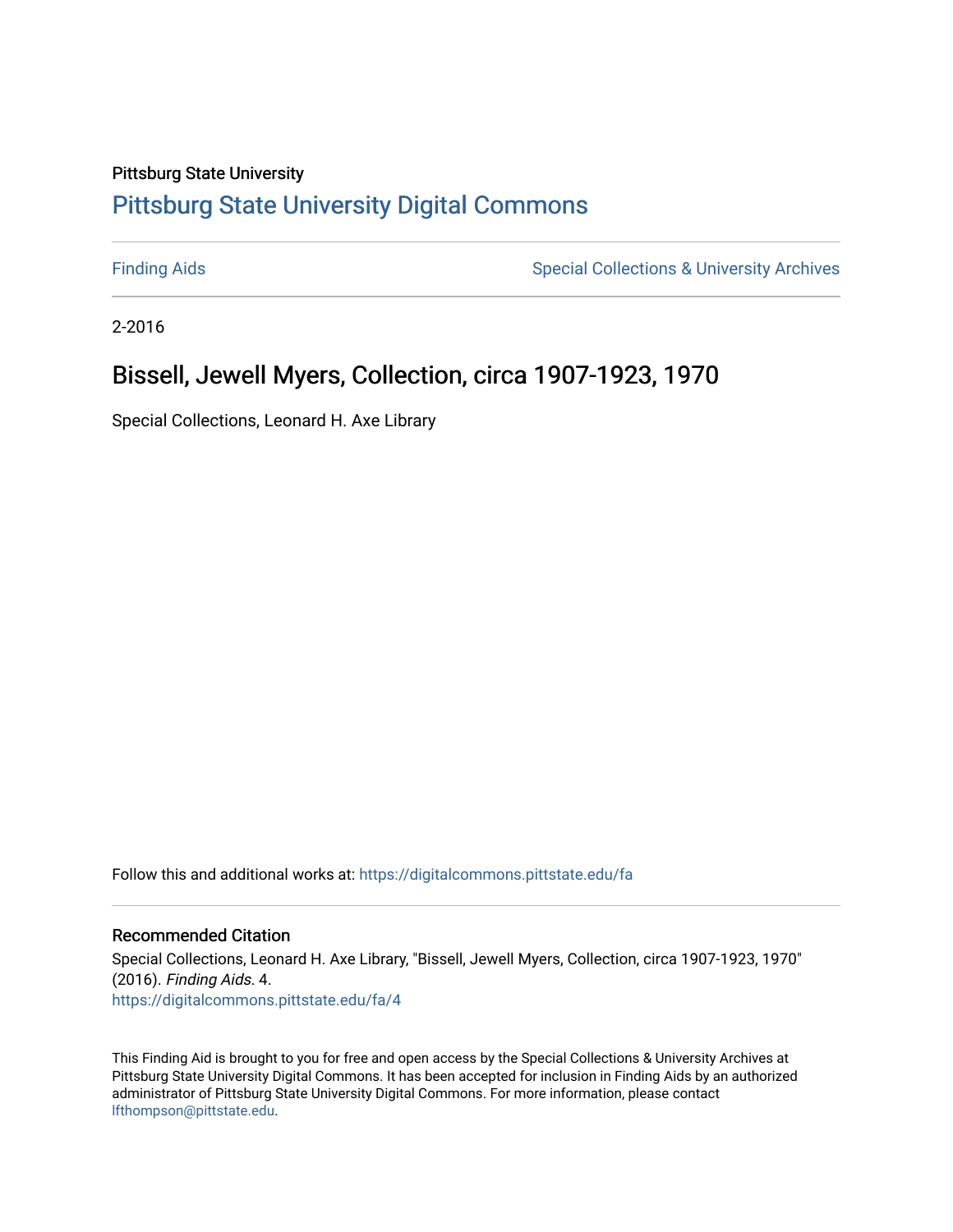## Pittsburg State University [Pittsburg State University Digital Commons](https://digitalcommons.pittstate.edu/)

[Finding Aids](https://digitalcommons.pittstate.edu/fa) **Special Collections & University Archives** Special Collections & University Archives

2-2016

# Bissell, Jewell Myers, Collection, circa 1907-1923, 1970

Special Collections, Leonard H. Axe Library

Follow this and additional works at: [https://digitalcommons.pittstate.edu/fa](https://digitalcommons.pittstate.edu/fa?utm_source=digitalcommons.pittstate.edu%2Ffa%2F4&utm_medium=PDF&utm_campaign=PDFCoverPages) 

## Recommended Citation

Special Collections, Leonard H. Axe Library, "Bissell, Jewell Myers, Collection, circa 1907-1923, 1970" (2016). Finding Aids. 4. [https://digitalcommons.pittstate.edu/fa/4](https://digitalcommons.pittstate.edu/fa/4?utm_source=digitalcommons.pittstate.edu%2Ffa%2F4&utm_medium=PDF&utm_campaign=PDFCoverPages) 

This Finding Aid is brought to you for free and open access by the Special Collections & University Archives at Pittsburg State University Digital Commons. It has been accepted for inclusion in Finding Aids by an authorized administrator of Pittsburg State University Digital Commons. For more information, please contact [lfthompson@pittstate.edu.](mailto:lfthompson@pittstate.edu)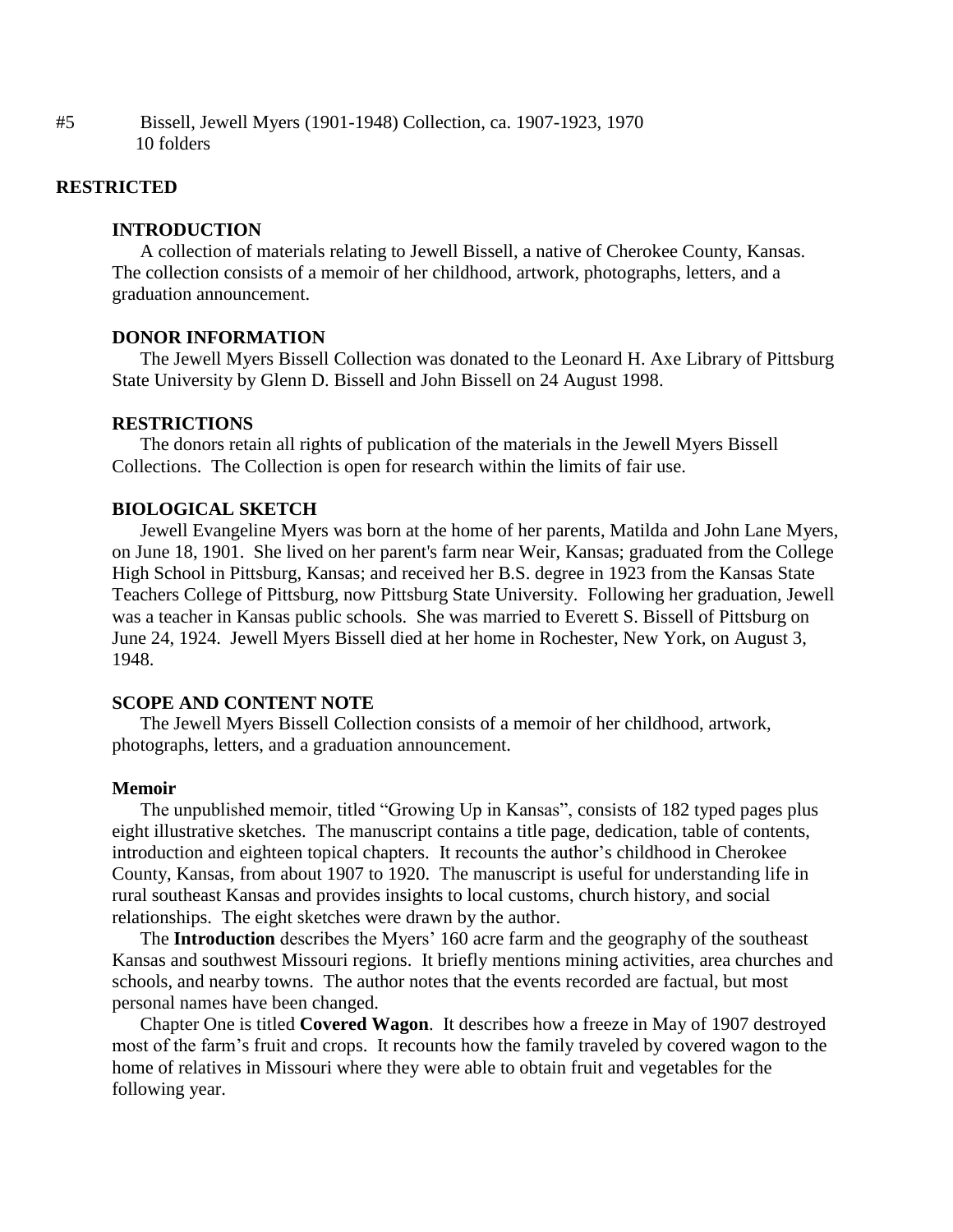#5 Bissell, Jewell Myers (1901-1948) Collection, ca. 1907-1923, 1970 10 folders

## **RESTRICTED**

## **INTRODUCTION**

A collection of materials relating to Jewell Bissell, a native of Cherokee County, Kansas. The collection consists of a memoir of her childhood, artwork, photographs, letters, and a graduation announcement.

## **DONOR INFORMATION**

The Jewell Myers Bissell Collection was donated to the Leonard H. Axe Library of Pittsburg State University by Glenn D. Bissell and John Bissell on 24 August 1998.

## **RESTRICTIONS**

The donors retain all rights of publication of the materials in the Jewell Myers Bissell Collections. The Collection is open for research within the limits of fair use.

## **BIOLOGICAL SKETCH**

Jewell Evangeline Myers was born at the home of her parents, Matilda and John Lane Myers, on June 18, 1901. She lived on her parent's farm near Weir, Kansas; graduated from the College High School in Pittsburg, Kansas; and received her B.S. degree in 1923 from the Kansas State Teachers College of Pittsburg, now Pittsburg State University. Following her graduation, Jewell was a teacher in Kansas public schools. She was married to Everett S. Bissell of Pittsburg on June 24, 1924. Jewell Myers Bissell died at her home in Rochester, New York, on August 3, 1948.

## **SCOPE AND CONTENT NOTE**

The Jewell Myers Bissell Collection consists of a memoir of her childhood, artwork, photographs, letters, and a graduation announcement.

#### **Memoir**

The unpublished memoir, titled "Growing Up in Kansas", consists of 182 typed pages plus eight illustrative sketches. The manuscript contains a title page, dedication, table of contents, introduction and eighteen topical chapters. It recounts the author's childhood in Cherokee County, Kansas, from about 1907 to 1920. The manuscript is useful for understanding life in rural southeast Kansas and provides insights to local customs, church history, and social relationships. The eight sketches were drawn by the author.

The **Introduction** describes the Myers' 160 acre farm and the geography of the southeast Kansas and southwest Missouri regions. It briefly mentions mining activities, area churches and schools, and nearby towns. The author notes that the events recorded are factual, but most personal names have been changed.

Chapter One is titled **Covered Wagon**. It describes how a freeze in May of 1907 destroyed most of the farm's fruit and crops. It recounts how the family traveled by covered wagon to the home of relatives in Missouri where they were able to obtain fruit and vegetables for the following year.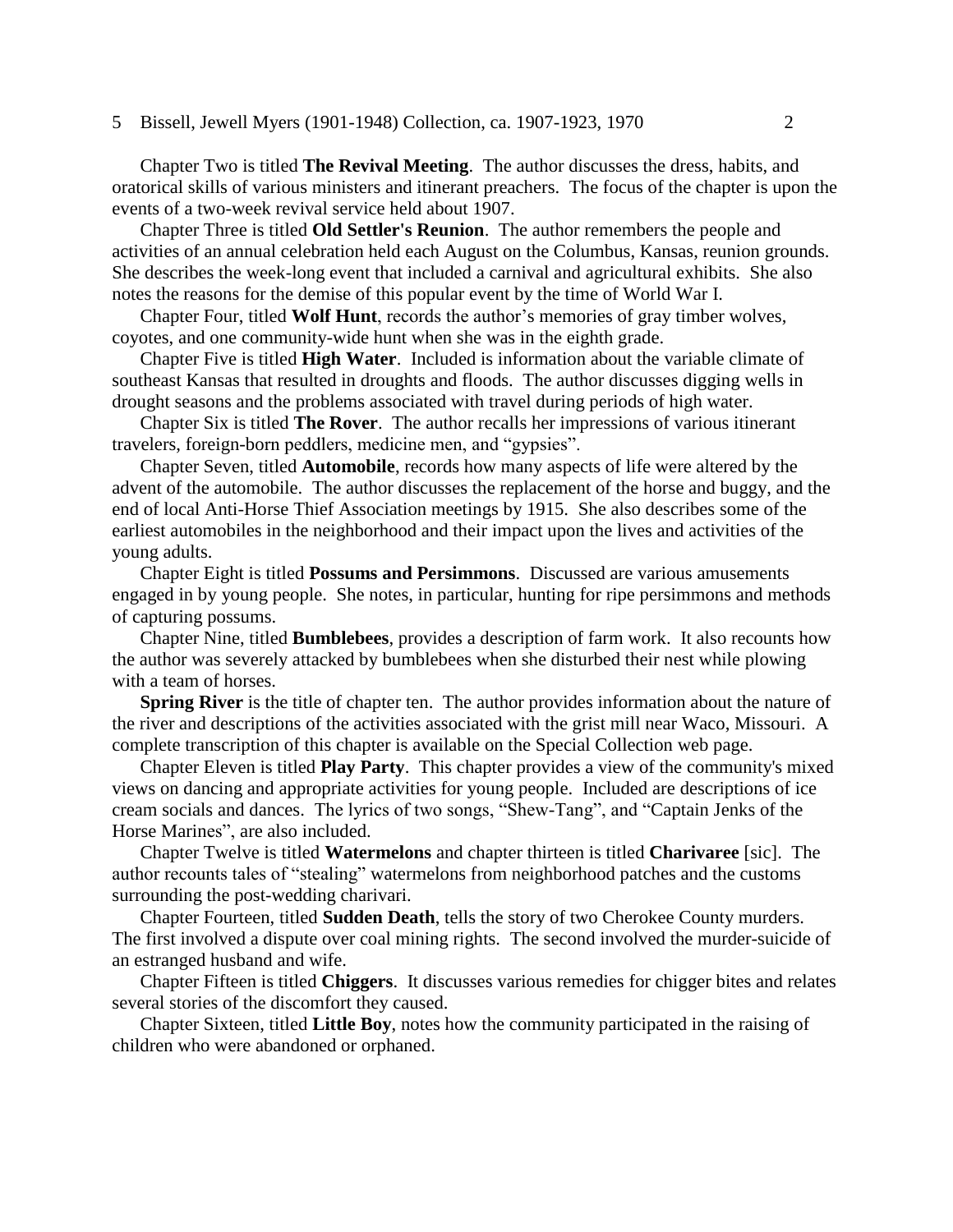#### 5 Bissell, Jewell Myers (1901-1948) Collection, ca. 1907-1923, 1970 2

Chapter Two is titled **The Revival Meeting**. The author discusses the dress, habits, and oratorical skills of various ministers and itinerant preachers. The focus of the chapter is upon the events of a two-week revival service held about 1907.

Chapter Three is titled **Old Settler's Reunion**. The author remembers the people and activities of an annual celebration held each August on the Columbus, Kansas, reunion grounds. She describes the week-long event that included a carnival and agricultural exhibits. She also notes the reasons for the demise of this popular event by the time of World War I.

Chapter Four, titled **Wolf Hunt**, records the author's memories of gray timber wolves, coyotes, and one community-wide hunt when she was in the eighth grade.

Chapter Five is titled **High Water**. Included is information about the variable climate of southeast Kansas that resulted in droughts and floods. The author discusses digging wells in drought seasons and the problems associated with travel during periods of high water.

Chapter Six is titled **The Rover**. The author recalls her impressions of various itinerant travelers, foreign-born peddlers, medicine men, and "gypsies".

Chapter Seven, titled **Automobile**, records how many aspects of life were altered by the advent of the automobile. The author discusses the replacement of the horse and buggy, and the end of local Anti-Horse Thief Association meetings by 1915. She also describes some of the earliest automobiles in the neighborhood and their impact upon the lives and activities of the young adults.

Chapter Eight is titled **Possums and Persimmons**. Discussed are various amusements engaged in by young people. She notes, in particular, hunting for ripe persimmons and methods of capturing possums.

Chapter Nine, titled **Bumblebees**, provides a description of farm work. It also recounts how the author was severely attacked by bumblebees when she disturbed their nest while plowing with a team of horses.

**Spring River** is the title of chapter ten. The author provides information about the nature of the river and descriptions of the activities associated with the grist mill near Waco, Missouri. A complete transcription of this chapter is available on the Special Collection web page.

Chapter Eleven is titled **Play Party**. This chapter provides a view of the community's mixed views on dancing and appropriate activities for young people. Included are descriptions of ice cream socials and dances. The lyrics of two songs, "Shew-Tang", and "Captain Jenks of the Horse Marines", are also included.

Chapter Twelve is titled **Watermelons** and chapter thirteen is titled **Charivaree** [sic]. The author recounts tales of "stealing" watermelons from neighborhood patches and the customs surrounding the post-wedding charivari.

Chapter Fourteen, titled **Sudden Death**, tells the story of two Cherokee County murders. The first involved a dispute over coal mining rights. The second involved the murder-suicide of an estranged husband and wife.

Chapter Fifteen is titled **Chiggers**. It discusses various remedies for chigger bites and relates several stories of the discomfort they caused.

Chapter Sixteen, titled **Little Boy**, notes how the community participated in the raising of children who were abandoned or orphaned.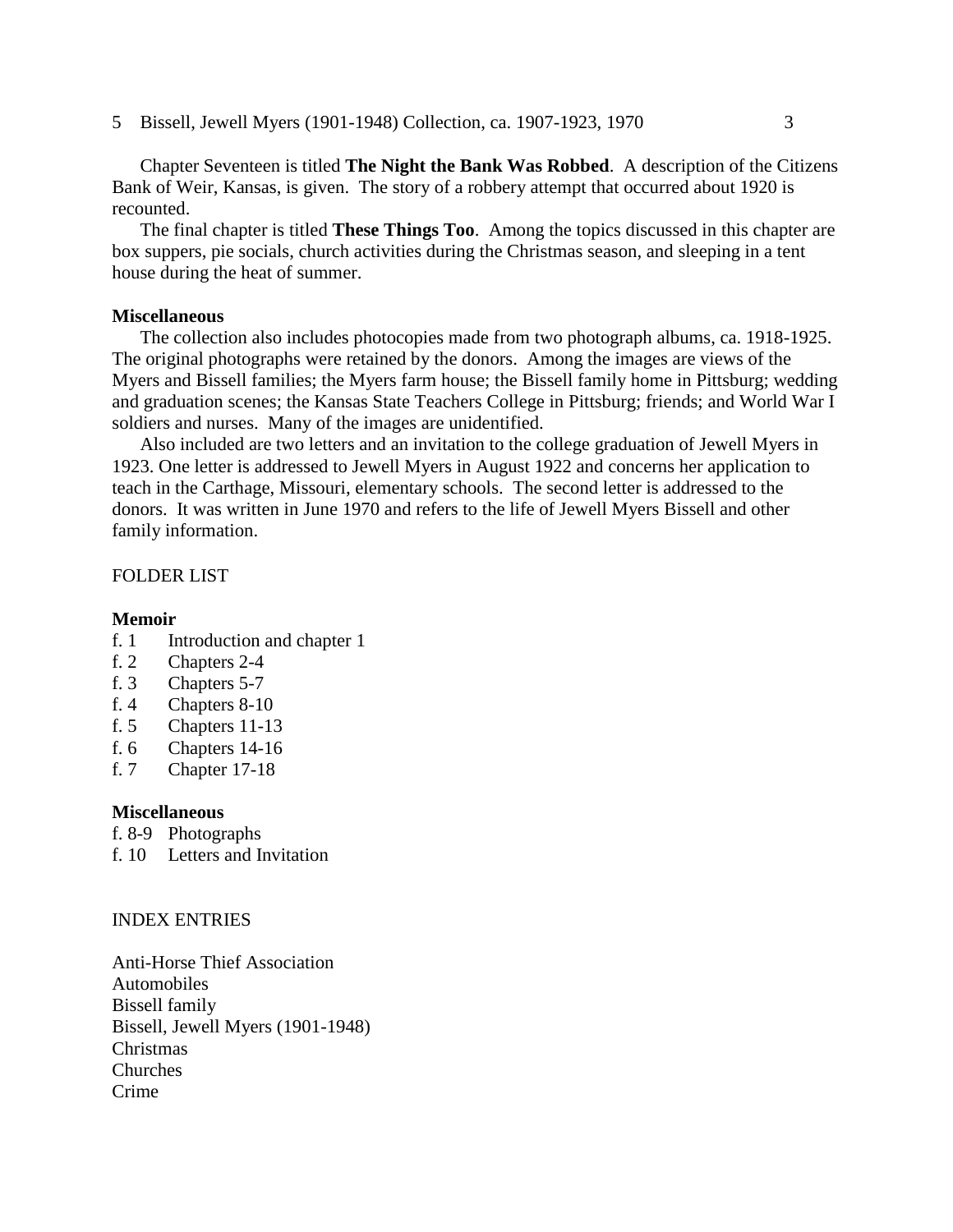5 Bissell, Jewell Myers (1901-1948) Collection, ca. 1907-1923, 1970 3

Chapter Seventeen is titled **The Night the Bank Was Robbed**. A description of the Citizens Bank of Weir, Kansas, is given. The story of a robbery attempt that occurred about 1920 is recounted.

The final chapter is titled **These Things Too**. Among the topics discussed in this chapter are box suppers, pie socials, church activities during the Christmas season, and sleeping in a tent house during the heat of summer.

## **Miscellaneous**

The collection also includes photocopies made from two photograph albums, ca. 1918-1925. The original photographs were retained by the donors. Among the images are views of the Myers and Bissell families; the Myers farm house; the Bissell family home in Pittsburg; wedding and graduation scenes; the Kansas State Teachers College in Pittsburg; friends; and World War I soldiers and nurses. Many of the images are unidentified.

Also included are two letters and an invitation to the college graduation of Jewell Myers in 1923. One letter is addressed to Jewell Myers in August 1922 and concerns her application to teach in the Carthage, Missouri, elementary schools. The second letter is addressed to the donors. It was written in June 1970 and refers to the life of Jewell Myers Bissell and other family information.

## FOLDER LIST

#### **Memoir**

- f. 1 Introduction and chapter 1
- f. 2 Chapters 2-4
- f. 3 Chapters 5-7
- f. 4 Chapters 8-10
- f. 5 Chapters 11-13
- f. 6 Chapters 14-16
- f. 7 Chapter 17-18

#### **Miscellaneous**

- f. 8-9 Photographs
- f. 10 Letters and Invitation

#### INDEX ENTRIES

Anti-Horse Thief Association Automobiles Bissell family Bissell, Jewell Myers (1901-1948) Christmas **Churches** Crime